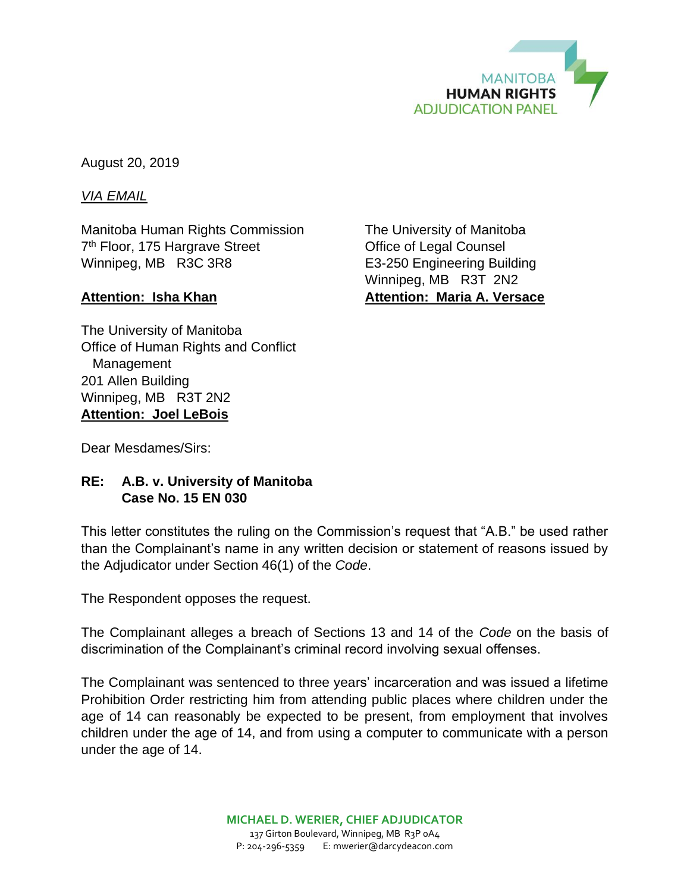

August 20, 2019

*VIA EMAIL*

Manitoba Human Rights Commission The University of Manitoba 7<sup>th</sup> Floor, 175 Hargrave Street **Communist Communist Communist Communist Communist Communist Communist Communist Communist Communist Communist Communist Communist Communist Communist Communist Communist Communist Communis** Winnipeg, MB R3C 3R8 E3-250 Engineering Building

The University of Manitoba Office of Human Rights and Conflict Management 201 Allen Building Winnipeg, MB R3T 2N2 **Attention: Joel LeBois**

Winnipeg, MB R3T 2N2 Attention: Isha Khan **Attention: Maria A. Versace** 

Dear Mesdames/Sirs:

## **RE: A.B. v. University of Manitoba Case No. 15 EN 030**

This letter constitutes the ruling on the Commission's request that "A.B." be used rather than the Complainant's name in any written decision or statement of reasons issued by the Adjudicator under Section 46(1) of the *Code*.

The Respondent opposes the request.

The Complainant alleges a breach of Sections 13 and 14 of the *Code* on the basis of discrimination of the Complainant's criminal record involving sexual offenses.

The Complainant was sentenced to three years' incarceration and was issued a lifetime Prohibition Order restricting him from attending public places where children under the age of 14 can reasonably be expected to be present, from employment that involves children under the age of 14, and from using a computer to communicate with a person under the age of 14.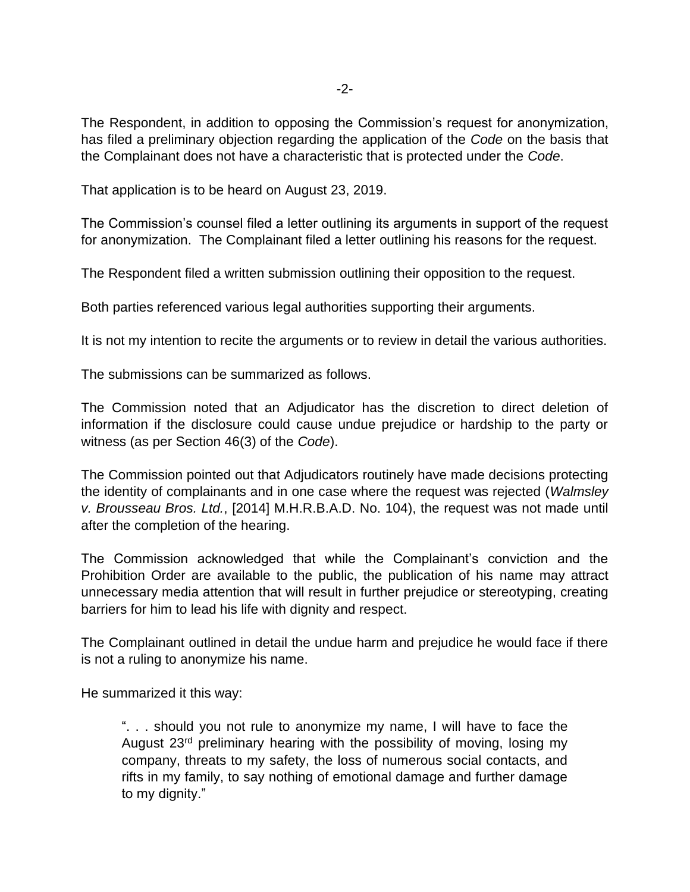The Respondent, in addition to opposing the Commission's request for anonymization, has filed a preliminary objection regarding the application of the *Code* on the basis that the Complainant does not have a characteristic that is protected under the *Code*.

That application is to be heard on August 23, 2019.

The Commission's counsel filed a letter outlining its arguments in support of the request for anonymization. The Complainant filed a letter outlining his reasons for the request.

The Respondent filed a written submission outlining their opposition to the request.

Both parties referenced various legal authorities supporting their arguments.

It is not my intention to recite the arguments or to review in detail the various authorities.

The submissions can be summarized as follows.

The Commission noted that an Adjudicator has the discretion to direct deletion of information if the disclosure could cause undue prejudice or hardship to the party or witness (as per Section 46(3) of the *Code*).

The Commission pointed out that Adjudicators routinely have made decisions protecting the identity of complainants and in one case where the request was rejected (*Walmsley v. Brousseau Bros. Ltd.*, [2014] M.H.R.B.A.D. No. 104), the request was not made until after the completion of the hearing.

The Commission acknowledged that while the Complainant's conviction and the Prohibition Order are available to the public, the publication of his name may attract unnecessary media attention that will result in further prejudice or stereotyping, creating barriers for him to lead his life with dignity and respect.

The Complainant outlined in detail the undue harm and prejudice he would face if there is not a ruling to anonymize his name.

He summarized it this way:

". . . should you not rule to anonymize my name, I will have to face the August 23rd preliminary hearing with the possibility of moving, losing my company, threats to my safety, the loss of numerous social contacts, and rifts in my family, to say nothing of emotional damage and further damage to my dignity."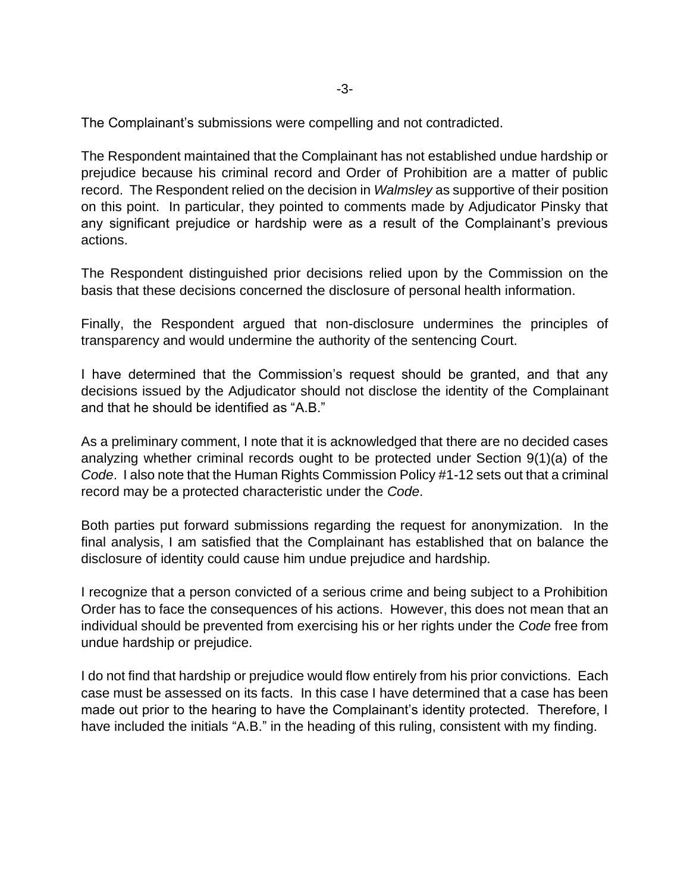The Complainant's submissions were compelling and not contradicted.

The Respondent maintained that the Complainant has not established undue hardship or prejudice because his criminal record and Order of Prohibition are a matter of public record. The Respondent relied on the decision in *Walmsley* as supportive of their position on this point. In particular, they pointed to comments made by Adjudicator Pinsky that any significant prejudice or hardship were as a result of the Complainant's previous actions.

The Respondent distinguished prior decisions relied upon by the Commission on the basis that these decisions concerned the disclosure of personal health information.

Finally, the Respondent argued that non-disclosure undermines the principles of transparency and would undermine the authority of the sentencing Court.

I have determined that the Commission's request should be granted, and that any decisions issued by the Adjudicator should not disclose the identity of the Complainant and that he should be identified as "A.B."

As a preliminary comment, I note that it is acknowledged that there are no decided cases analyzing whether criminal records ought to be protected under Section 9(1)(a) of the *Code*. I also note that the Human Rights Commission Policy #1-12 sets out that a criminal record may be a protected characteristic under the *Code*.

Both parties put forward submissions regarding the request for anonymization. In the final analysis, I am satisfied that the Complainant has established that on balance the disclosure of identity could cause him undue prejudice and hardship.

I recognize that a person convicted of a serious crime and being subject to a Prohibition Order has to face the consequences of his actions. However, this does not mean that an individual should be prevented from exercising his or her rights under the *Code* free from undue hardship or prejudice.

I do not find that hardship or prejudice would flow entirely from his prior convictions. Each case must be assessed on its facts. In this case I have determined that a case has been made out prior to the hearing to have the Complainant's identity protected. Therefore, I have included the initials "A.B." in the heading of this ruling, consistent with my finding.